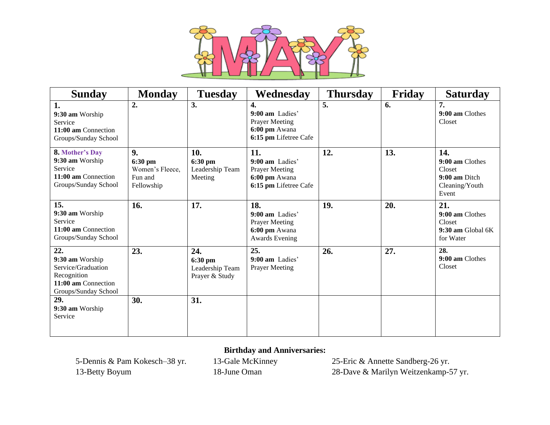

| <b>Sunday</b>                                                                                              | <b>Monday</b>                                             | <b>Tuesday</b>                                      | Wednesday                                                                                  | <b>Thursday</b> | Friday | <b>Saturday</b>                                                              |
|------------------------------------------------------------------------------------------------------------|-----------------------------------------------------------|-----------------------------------------------------|--------------------------------------------------------------------------------------------|-----------------|--------|------------------------------------------------------------------------------|
| 1.<br>9:30 am Worship<br>Service<br>11:00 am Connection<br>Groups/Sunday School                            | 2.                                                        | 3.                                                  | 4.<br>$9:00$ am Ladies'<br><b>Prayer Meeting</b><br>6:00 pm Awana<br>6:15 pm Lifetree Cafe | 5.              | 6.     | 7.<br>9:00 am Clothes<br>Closet                                              |
| <b>8. Mother's Day</b><br>9:30 am Worship<br>Service<br>11:00 am Connection<br>Groups/Sunday School        | 9.<br>6:30 pm<br>Women's Fleece,<br>Fun and<br>Fellowship | 10.<br>6:30 pm<br>Leadership Team<br>Meeting        | 11.<br>9:00 am Ladies'<br><b>Prayer Meeting</b><br>6:00 pm Awana<br>6:15 pm Lifetree Cafe  | 12.             | 13.    | 14.<br>9:00 am Clothes<br>Closet<br>9:00 am Ditch<br>Cleaning/Youth<br>Event |
| 15.<br>9:30 am Worship<br>Service<br>11:00 am Connection<br>Groups/Sunday School                           | 16.                                                       | 17.                                                 | 18.<br>9:00 am Ladies'<br><b>Prayer Meeting</b><br>6:00 pm Awana<br><b>Awards Evening</b>  | 19.             | 20.    | 21.<br>9:00 am Clothes<br>Closet<br>9:30 am Global 6K<br>for Water           |
| 22.<br>9:30 am Worship<br>Service/Graduation<br>Recognition<br>11:00 am Connection<br>Groups/Sunday School | 23.                                                       | 24.<br>6:30 pm<br>Leadership Team<br>Prayer & Study | 25.<br>9:00 am Ladies'<br>Prayer Meeting                                                   | 26.             | 27.    | 28.<br>9:00 am Clothes<br>Closet                                             |
| 29.<br>9:30 am Worship<br>Service                                                                          | 30.                                                       | 31.                                                 |                                                                                            |                 |        |                                                                              |

## **Birthday and Anniversaries:**

5-Dennis & Pam Kokesch–38 yr. 13-Gale McKinney 25-Eric & Annette Sandberg-26 yr. 13-Betty Boyum 18-June Oman 28-Dave & Marilyn Weitzenkamp-57 yr.